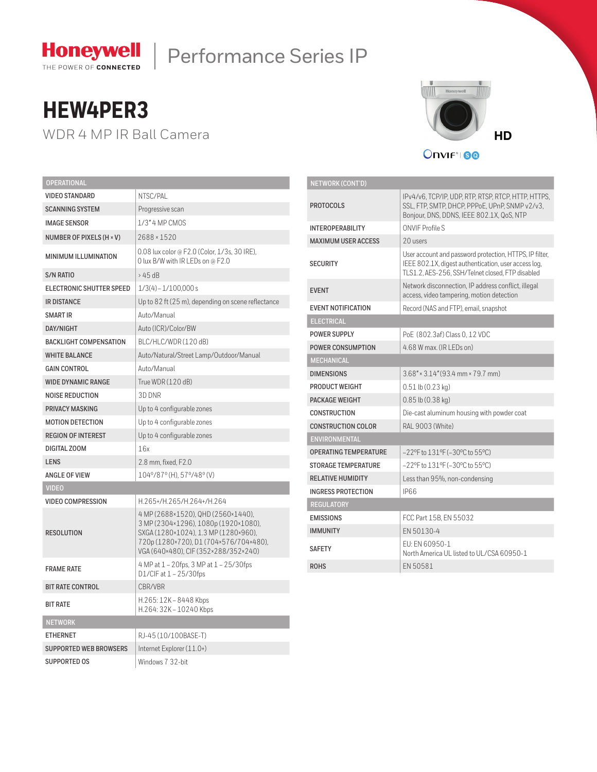

# Honeywell | Performance Series IP

## **HEW4PER3**

WDR 4 MP IR Ball Camera



| <b>OPERATIONAL</b>            |                                                                                                                                                                                                      |  |  |  |  |
|-------------------------------|------------------------------------------------------------------------------------------------------------------------------------------------------------------------------------------------------|--|--|--|--|
| <b>VIDEO STANDARD</b>         | NTSC/PAL                                                                                                                                                                                             |  |  |  |  |
| <b>SCANNING SYSTEM</b>        | Progressive scan                                                                                                                                                                                     |  |  |  |  |
| <b>IMAGE SENSOR</b>           | 1/3" 4 MP CMOS                                                                                                                                                                                       |  |  |  |  |
| NUMBER OF PIXELS (H × V)      | 2688 × 1520                                                                                                                                                                                          |  |  |  |  |
| <b>MINIMUM ILLUMINATION</b>   | 0.08 lux color @ F2.0 (Color, 1/3s, 30 IRE),<br>O lux B/W with IR LEDs on @ F2.0                                                                                                                     |  |  |  |  |
| <b>S/N RATIO</b>              | $>45$ dB                                                                                                                                                                                             |  |  |  |  |
| ELECTRONIC SHUTTER SPEED      | $1/3(4) - 1/100,000 s$                                                                                                                                                                               |  |  |  |  |
| <b>IR DISTANCE</b>            | Up to 82 ft (25 m), depending on scene reflectance                                                                                                                                                   |  |  |  |  |
| <b>SMART IR</b>               | Auto/Manual                                                                                                                                                                                          |  |  |  |  |
| <b>DAY/NIGHT</b>              | Auto (ICR)/Color/BW                                                                                                                                                                                  |  |  |  |  |
| <b>BACKLIGHT COMPENSATION</b> | BLC/HLC/WDR(120 dB)                                                                                                                                                                                  |  |  |  |  |
| <b>WHITE BALANCE</b>          | Auto/Natural/Street Lamp/Outdoor/Manual                                                                                                                                                              |  |  |  |  |
| <b>GAIN CONTROL</b>           | Auto/Manual                                                                                                                                                                                          |  |  |  |  |
| <b>WIDE DYNAMIC RANGE</b>     | True WDR (120 dB)                                                                                                                                                                                    |  |  |  |  |
| <b>NOISE REDUCTION</b>        | 3D DNR                                                                                                                                                                                               |  |  |  |  |
| PRIVACY MASKING               | Up to 4 configurable zones                                                                                                                                                                           |  |  |  |  |
| <b>MOTION DETECTION</b>       | Up to 4 configurable zones                                                                                                                                                                           |  |  |  |  |
| <b>REGION OF INTEREST</b>     | Up to 4 configurable zones                                                                                                                                                                           |  |  |  |  |
| DIGITAL ZOOM                  | 16x                                                                                                                                                                                                  |  |  |  |  |
| <b>LENS</b>                   | 2.8 mm, fixed, F2.0                                                                                                                                                                                  |  |  |  |  |
| <b>ANGLE OF VIEW</b>          | 104°/87° (H), 57°/48° (V)                                                                                                                                                                            |  |  |  |  |
| <b>VIDEO</b>                  |                                                                                                                                                                                                      |  |  |  |  |
| <b>VIDEO COMPRESSION</b>      | H.265+/H.265/H.264+/H.264                                                                                                                                                                            |  |  |  |  |
| <b>RESOLUTION</b>             | 4 MP (2688×1520), QHD (2560×1440),<br>3 MP (2304×1296), 1080p (1920×1080),<br>SXGA (1280×1024), 1.3 MP (1280×960),<br>720p (1280×720), D1 (704×576/704×480),<br>VGA (640×480), CIF (352×288/352×240) |  |  |  |  |
| <b>FRAME RATE</b>             | 4 MP at 1 - 20fps, 3 MP at 1 - 25/30fps<br>D1/CIF at $1 - 25/30$ fps                                                                                                                                 |  |  |  |  |
| <b>BIT RATE CONTROL</b>       | CBR/VBR                                                                                                                                                                                              |  |  |  |  |
| <b>BIT RATE</b>               | H.265: 12K - 8448 Kbps<br>H.264: 32K - 10240 Kbps                                                                                                                                                    |  |  |  |  |
| <b>NETWORK</b>                |                                                                                                                                                                                                      |  |  |  |  |
| <b>ETHERNET</b>               | RJ-45 (10/100BASE-T)                                                                                                                                                                                 |  |  |  |  |
| <b>SUPPORTED WEB BROWSERS</b> | Internet Explorer (11.0+)                                                                                                                                                                            |  |  |  |  |
| SUPPORTED OS                  | Windows 7 32-bit                                                                                                                                                                                     |  |  |  |  |

| NETWORK (CONT'D)             |                                                                                                                                                                     |  |  |  |  |
|------------------------------|---------------------------------------------------------------------------------------------------------------------------------------------------------------------|--|--|--|--|
| <b>PROTOCOLS</b>             | IPv4/v6, TCP/IP, UDP, RTP, RTSP, RTCP, HTTP, HTTPS,<br>SSL, FTP, SMTP, DHCP, PPPoE, UPnP, SNMP v2/v3,<br>Bonjour, DNS, DDNS, IEEE 802.1X, QoS, NTP                  |  |  |  |  |
| <b>INTEROPERABILITY</b>      | ONVIF Profile S                                                                                                                                                     |  |  |  |  |
| <b>MAXIMUM USER ACCESS</b>   | 20 users                                                                                                                                                            |  |  |  |  |
| <b>SECURITY</b>              | User account and password protection, HTTPS, IP filter,<br>IEEE 802.1X, digest authentication, user access log,<br>TLS1.2. AES-256. SSH/Telnet closed. FTP disabled |  |  |  |  |
| <b>EVENT</b>                 | Network disconnection, IP address conflict, illegal<br>access, video tampering, motion detection                                                                    |  |  |  |  |
| <b>EVENT NOTIFICATION</b>    | Record (NAS and FTP), email, snapshot                                                                                                                               |  |  |  |  |
| <b>ELECTRICAL</b>            |                                                                                                                                                                     |  |  |  |  |
| <b>POWER SUPPLY</b>          | PoE (802.3af) Class 0, 12 VDC                                                                                                                                       |  |  |  |  |
| POWER CONSUMPTION            | 4.68 W max. (IR LEDs on)                                                                                                                                            |  |  |  |  |
| <b>MECHANICAL</b>            |                                                                                                                                                                     |  |  |  |  |
| <b>DIMENSIONS</b>            | $3.68'' \times 3.14'' (93.4 \text{ mm} \times 79.7 \text{ mm})$                                                                                                     |  |  |  |  |
| PRODUCT WEIGHT               | $0.51$ lb $(0.23$ kg)                                                                                                                                               |  |  |  |  |
| <b>PACKAGE WEIGHT</b>        | $0.85$ lb $(0.38$ kg)                                                                                                                                               |  |  |  |  |
| <b>CONSTRUCTION</b>          | Die-cast aluminum housing with powder coat                                                                                                                          |  |  |  |  |
| <b>CONSTRUCTION COLOR</b>    | RAL 9003 (White)                                                                                                                                                    |  |  |  |  |
| <b>ENVIRONMENTAL</b>         |                                                                                                                                                                     |  |  |  |  |
| <b>OPERATING TEMPERATURE</b> | $-22$ °F to 1.31 °F ( $-30$ °C to 55 °C)                                                                                                                            |  |  |  |  |
| <b>STORAGE TEMPERATURE</b>   | $-22^{\circ}$ F to $131^{\circ}$ F ( $-30^{\circ}$ C to 55°C)                                                                                                       |  |  |  |  |
| <b>RELATIVE HUMIDITY</b>     | Less than 95%, non-condensing                                                                                                                                       |  |  |  |  |
| <b>INGRESS PROTECTION</b>    | <b>IP66</b>                                                                                                                                                         |  |  |  |  |
| <b>REGULATORY</b>            |                                                                                                                                                                     |  |  |  |  |
| <b>EMISSIONS</b>             | FCC Part 15B. EN 55032                                                                                                                                              |  |  |  |  |
| <b>IMMUNITY</b>              | FN 50130-4                                                                                                                                                          |  |  |  |  |
| <b>SAFETY</b>                | FU: FN 60950-1<br>North America UL listed to UL/CSA 60950-1                                                                                                         |  |  |  |  |
| <b>ROHS</b>                  | FN 50581                                                                                                                                                            |  |  |  |  |
|                              |                                                                                                                                                                     |  |  |  |  |